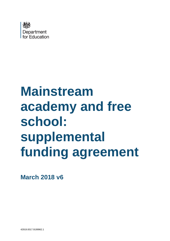

# **Mainstream academy and free school: supplemental funding agreement**

**March 2018 v6**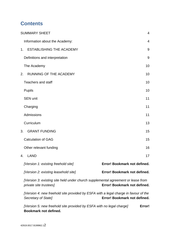# **Contents**

| <b>SUMMARY SHEET</b>                                                                                       | 4                            |
|------------------------------------------------------------------------------------------------------------|------------------------------|
| Information about the Academy:                                                                             | 4                            |
| <b>ESTABLISHING THE ACADEMY</b><br>1 <sub>1</sub>                                                          | 9                            |
| Definitions and interpretation                                                                             | 9                            |
| The Academy                                                                                                | 10                           |
| <b>RUNNING OF THE ACADEMY</b><br>2.                                                                        | 10                           |
| <b>Teachers and staff</b>                                                                                  | 10                           |
| <b>Pupils</b>                                                                                              | 10                           |
| <b>SEN unit</b>                                                                                            | 11                           |
| Charging                                                                                                   | 11                           |
| Admissions                                                                                                 | 11                           |
| Curriculum                                                                                                 | 13                           |
| <b>GRANT FUNDING</b><br>3.                                                                                 | 15                           |
| <b>Calculation of GAG</b>                                                                                  | 15                           |
| Other relevant funding                                                                                     | 16                           |
| <b>LAND</b><br>4.                                                                                          | 17                           |
| [Version 1: existing freehold site]                                                                        | Error! Bookmark not defined. |
| [Version 2: existing leasehold site]                                                                       | Error! Bookmark not defined. |
| (Version 3: existing site held under church supplemental agreement or lease from<br>private site trustees] | Error! Bookmark not defined. |
| [Version 4: new freehold site provided by ESFA with a legal charge in favour of the<br>Secretary of State] | Error! Bookmark not defined. |

*[Version 5: new freehold site provided by ESFA with no legal charge]* **Error! Bookmark not defined.**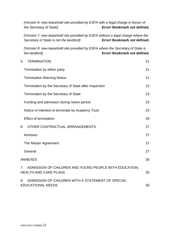*[Version 6: new leasehold site provided by ESFA with a legal charge in favour of the Secretary of State]* **Error! Bookmark not defined.**

*[Version 7: new leasehold site provided by ESFA without a legal charge where the Secretary of State is not the landlord]* **Error! Bookmark not defined.**

*[Version 8: new leasehold site provided by ESFA where the Secretary of State is the landlord]* **Error! Bookmark not defined.**

| <b>TERMINATION</b><br>5.                                                                     | 21 |
|----------------------------------------------------------------------------------------------|----|
| Termination by either party                                                                  | 21 |
| <b>Termination Warning Notice</b>                                                            | 21 |
| Termination by the Secretary of State after inspection                                       | 22 |
| Termination by the Secretary of State                                                        | 23 |
| Funding and admission during notice period                                                   | 23 |
| Notice of intention to terminate by Academy Trust                                            | 23 |
| <b>Effect of termination</b>                                                                 | 26 |
| OTHER CONTRACTUAL ARRANGEMENTS<br>6.                                                         | 27 |
| Annexes                                                                                      | 27 |
| The Master Agreement                                                                         | 27 |
| General                                                                                      | 27 |
| <b>ANNEXES</b>                                                                               | 30 |
| ADMISSION OF CHILDREN AND YOUNG PEOPLE WITH EDUCATION,<br>7.<br><b>HEALTH AND CARE PLANS</b> | 30 |
| ADMISSION OF CHILDREN WITH A STATEMENT OF SPECIAL<br>8.<br><b>EDUCATIONAL NEEDS</b>          | 30 |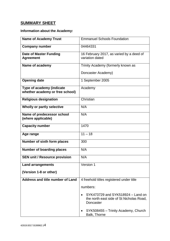# <span id="page-3-0"></span>**SUMMARY SHEET**

# <span id="page-3-1"></span>**Information about the Academy:**

| <b>Name of Academy Trust</b>                      | <b>Emmanuel Schools Foundation</b>                                                         |  |  |
|---------------------------------------------------|--------------------------------------------------------------------------------------------|--|--|
| <b>Company number</b>                             | 04464331                                                                                   |  |  |
| <b>Date of Master Funding</b><br><b>Agreement</b> | 16 February 2017, as varied by a deed of<br>variation dated                                |  |  |
| Name of academy                                   | Trinity Academy (formerly known as                                                         |  |  |
|                                                   | Doncaster Academy)                                                                         |  |  |
| <b>Opening date</b>                               | 1 September 2005                                                                           |  |  |
| Type of academy (indicate                         | Academy                                                                                    |  |  |
| whether academy or free school)                   |                                                                                            |  |  |
| <b>Religious designation</b>                      | Christian                                                                                  |  |  |
| Wholly or partly selective                        | N/A                                                                                        |  |  |
| Name of predecessor school<br>(where applicable)  | N/A                                                                                        |  |  |
| <b>Capacity number</b>                            | 1470                                                                                       |  |  |
| Age range                                         | $11 - 18$                                                                                  |  |  |
| Number of sixth form places                       | 300                                                                                        |  |  |
| <b>Number of boarding places</b>                  | N/A                                                                                        |  |  |
| <b>SEN unit / Resource provision</b>              | N/A                                                                                        |  |  |
| <b>Land arrangements</b>                          | Version 1                                                                                  |  |  |
| (Version 1-8 or other)                            |                                                                                            |  |  |
| Address and title number of Land                  | 4 freehold titles registered under title                                                   |  |  |
|                                                   | numbers:                                                                                   |  |  |
|                                                   | SYK473729 and SYK518924 - Land on<br>the north east side of St Nicholas Road,<br>Doncaster |  |  |
|                                                   | SYK508455 - Trinity Academy, Church<br>Balk, Thorne                                        |  |  |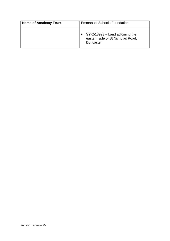| <b>Name of Academy Trust</b> | <b>Emmanuel Schools Foundation</b>                                                   |  |
|------------------------------|--------------------------------------------------------------------------------------|--|
|                              | • $SYK518923 - Land adjoining the$<br>eastern side of St Nicholas Road,<br>Doncaster |  |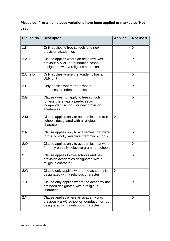# **Please confirm which clause variations have been applied or marked as 'Not used'**

| <b>Clause No.</b> | <b>Descriptor</b>                                                                                                              | <b>Applied</b> | <b>Not used</b> |
|-------------------|--------------------------------------------------------------------------------------------------------------------------------|----------------|-----------------|
| 1.1               | Only applies to free schools and new<br>provision academies                                                                    |                | X               |
| 2.A.1             | Clause applies where an academy was<br>previously a VC or foundation school<br>designated with a religious character           |                | X               |
| 2.C, 2.D          | Only applies where the academy has an<br><b>SEN unit</b>                                                                       |                | X               |
| 2.E               | Only applies where there was a<br>predecessor independent school                                                               |                | X               |
| 2.G               | Clause does not apply to free schools<br>(unless there was a predecessor<br>independent school), or new provision<br>academies |                | X               |
| 2.M               | Clause applies only to academies and free<br>schools designated with a religious<br>character                                  | X              |                 |
| 2.N               | Clause applies only to academies that were<br>formerly wholly selective grammar schools                                        |                | X               |
| 2.0               | Clause applies only to academies that were<br>formerly partially selective grammar schools                                     |                | X               |
| 2.7               | Clause applies to free schools and new<br>provision academies designated with a<br>religious character                         |                | X               |
| 2.W               | Clause only applies where the academy is<br>designated with a religious character                                              | X              |                 |
| 2.X               | Clause only applies where the academy has<br>not been designated with a religious<br>character                                 |                | X               |
| 2.Y               | Clause applies where an academy was<br>previously a VC school or foundation school<br>designated with a religious character    |                | X               |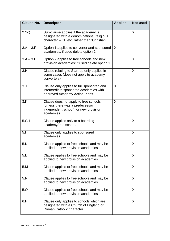| <b>Clause No.</b> | <b>Descriptor</b>                                                                                                                 | <b>Applied</b> | <b>Not used</b> |
|-------------------|-----------------------------------------------------------------------------------------------------------------------------------|----------------|-----------------|
| 2.Yc)             | Sub-clause applies if the academy is<br>designated with a denominational religious<br>character - CE etc. rather than 'Christian' |                | X               |
| $3.A - 3.F$       | Option 1 applies to converter and sponsored<br>academies: if used delete option 2                                                 | $\sf X$        |                 |
| $3.A - 3.F$       | Option 2 applies to free schools and new<br>provision academies: if used delete option 1                                          |                | X               |
| 3.H               | Clause relating to Start-up only applies in<br>some cases (does not apply to academy<br>converters)                               |                | X               |
| 3. J              | Clause only applies to full sponsored and<br>intermediate sponsored academies with<br>approved Academy Action Plans               | X              |                 |
| 3.K               | Clause does not apply to free schools<br>(unless there was a predecessor<br>independent school), or new provision<br>academies    | X              |                 |
| 5.G.1             | Clause applies only to a boarding<br>academy/free school.                                                                         |                | X               |
| 5.1               | Clause only applies to sponsored<br>academies                                                                                     |                | X               |
| 5.K               | Clause applies to free schools and may be<br>applied to new provision academies                                                   |                | X               |
| 5.L               | Clause applies to free schools and may be<br>applied to new provision academies                                                   |                | X               |
| 5.M               | Clause applies to free schools and may be<br>applied to new provision academies                                                   |                | X               |
| 5.N               | Clause applies to free schools and may be<br>applied to new provision academies                                                   |                | X               |
| 5.0               | Clause applies to free schools and may be<br>applied to new provision academies                                                   |                | X               |
| 6.H               | Clause only applies to schools which are<br>designated with a Church of England or<br>Roman Catholic character                    |                | X               |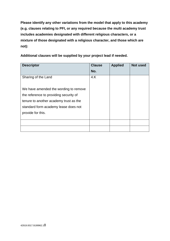**Please identify any other variations from the model that apply to this academy (e.g. clauses relating to PFI, or any required because the multi academy trust includes academies designated with different religious characters, or a mixture of those designated with a religious character, and those which are not):**

**Additional clauses will be supplied by your project lead if needed.**

| <b>Descriptor</b>                      | <b>Clause</b> | <b>Applied</b> | <b>Not used</b> |
|----------------------------------------|---------------|----------------|-----------------|
|                                        | No.           |                |                 |
| Sharing of the Land                    | 4.K           |                |                 |
|                                        |               |                |                 |
| We have amended the wording to remove  |               |                |                 |
| the reference to providing security of |               |                |                 |
| tenure to another academy trust as the |               |                |                 |
| standard form academy lease does not   |               |                |                 |
| provide for this.                      |               |                |                 |
|                                        |               |                |                 |
|                                        |               |                |                 |
|                                        |               |                |                 |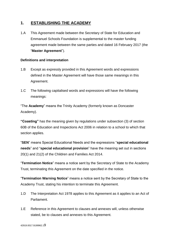## <span id="page-8-0"></span>**1. ESTABLISHING THE ACADEMY**

1.A This Agreement made between the Secretary of State for Education and Emmanuel Schools Foundation is supplemental to the master funding agreement made between the same parties and dated 16 February 2017 (the "**Master Agreement**").

#### <span id="page-8-1"></span>**Definitions and interpretation**

- 1.B Except as expressly provided in this Agreement words and expressions defined in the Master Agreement will have those same meanings in this Agreement.
- 1.C The following capitalised words and expressions will have the following meanings:

"The **Academy**" means the Trinity Academy (formerly known as Doncaster Academy).

**"Coasting"** has the meaning given by regulations under subsection (3) of section 60B of the Education and Inspections Act 2006 in relation to a school to which that section applies.

"**SEN**" means Special Educational Needs and the expressions "**special educational needs**" and "**special educational provision**" have the meaning set out in sections 20(1) and 21(2) of the Children and Families Act 2014.

"**Termination Notice**" means a notice sent by the Secretary of State to the Academy Trust, terminating this Agreement on the date specified in the notice.

"**Termination Warning Notice**" means a notice sent by the Secretary of State to the Academy Trust, stating his intention to terminate this Agreement.

- 1.D The Interpretation Act 1978 applies to this Agreement as it applies to an Act of Parliament.
- 1.E Reference in this Agreement to clauses and annexes will, unless otherwise stated, be to clauses and annexes to this Agreement.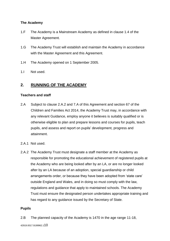#### <span id="page-9-0"></span>**The Academy**

- 1.F The Academy is a Mainstream Academy as defined in clause 1.4 of the Master Agreement.
- 1.G The Academy Trust will establish and maintain the Academy in accordance with the Master Agreement and this Agreement.
- 1.H The Academy opened on 1 September 2005.
- 1.I Not used.

## <span id="page-9-1"></span>**2. RUNNING OF THE ACADEMY**

#### <span id="page-9-2"></span>**Teachers and staff**

- 2.A Subject to clause 2.A.2 and 7.A of this Agreement and section 67 of the Children and Families Act 2014, the Academy Trust may, in accordance with any relevant Guidance, employ anyone it believes is suitably qualified or is otherwise eligible to plan and prepare lessons and courses for pupils, teach pupils, and assess and report on pupils' development, progress and attainment.
- 2.A.1 Not used.
- 2.A.2 The Academy Trust must designate a staff member at the Academy as responsible for promoting the educational achievement of registered pupils at the Academy who are being looked after by an LA, or are no longer looked after by an LA because of an adoption, special guardianship or child arrangements order, or because they have been adopted from 'state care' outside England and Wales, and in doing so must comply with the law, regulations and guidance that apply to maintained schools. The Academy Trust must ensure the designated person undertakes appropriate training and has regard to any guidance issued by the Secretary of State.

#### <span id="page-9-3"></span>**Pupils**

2.B The planned capacity of the Academy is 1470 in the age range 11-18,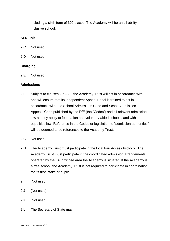including a sixth form of 300 places. The Academy will be an all ability inclusive school.

#### <span id="page-10-0"></span>**SEN unit**

- 2.C Not used.
- 2.D Not used.

#### <span id="page-10-1"></span>**Charging**

2.E Not used.

#### <span id="page-10-2"></span>**Admissions**

- 2.F Subject to clauses 2.K– 2.L the Academy Trust will act in accordance with, and will ensure that its Independent Appeal Panel is trained to act in accordance with, the School Admissions Code and School Admission Appeals Code published by the DfE (the "Codes") and all relevant admissions law as they apply to foundation and voluntary aided schools, and with equalities law. Reference in the Codes or legislation to "admission authorities" will be deemed to be references to the Academy Trust.
- 2.G Not used.
- 2.H The Academy Trust must participate in the local Fair Access Protocol. The Academy Trust must participate in the coordinated admission arrangements operated by the LA in whose area the Academy is situated. If the Academy is a free school, the Academy Trust is not required to participate in coordination for its first intake of pupils.
- 2.I [Not used]
- 2.J [Not used]
- 2.K [Not used]
- 2.L The Secretary of State may: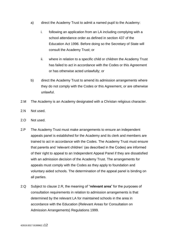- a) direct the Academy Trust to admit a named pupil to the Academy:
	- i. following an application from an LA including complying with a school attendance order as defined in section 437 of the Education Act 1996. Before doing so the Secretary of State will consult the Academy Trust; or
	- ii. where in relation to a specific child or children the Academy Trust has failed to act in accordance with the Codes or this Agreement or has otherwise acted unlawfully; or
- b) direct the Academy Trust to amend its admission arrangements where they do not comply with the Codes or this Agreement, or are otherwise unlawful.
- 2.M The Academy is an Academy designated with a Christan religious character.
- 2.N Not used.
- 2.O Not used.
- 2.P The Academy Trust must make arrangements to ensure an independent appeals panel is established for the Academy and its clerk and members are trained to act in accordance with the Codes. The Academy Trust must ensure that parents and 'relevant children' (as described in the Codes) are informed of their right to appeal to an Independent Appeal Panel if they are dissatisfied with an admission decision of the Academy Trust. The arrangements for appeals must comply with the Codes as they apply to foundation and voluntary aided schools. The determination of the appeal panel is binding on all parties.
- 2.Q Subject to clause 2.R, the meaning of "**relevant area**" for the purposes of consultation requirements in relation to admission arrangements is that determined by the relevant LA for maintained schools in the area in accordance with the Education (Relevant Areas for Consultation on Admission Arrangements) Regulations 1999.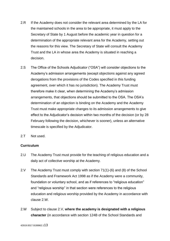- 2.R If the Academy does not consider the relevant area determined by the LA for the maintained schools in the area to be appropriate, it must apply to the Secretary of State by 1 August before the academic year in question for a determination of the appropriate relevant area for the Academy, setting out the reasons for this view. The Secretary of State will consult the Academy Trust and the LA in whose area the Academy is situated in reaching a decision.
- 2.S The Office of the Schools Adjudicator ("OSA") will consider objections to the Academy's admission arrangements (except objections against any agreed derogations from the provisions of the Codes specified in this funding agreement, over which it has no jurisdiction). The Academy Trust must therefore make it clear, when determining the Academy's admission arrangements, that objections should be submitted to the OSA. The OSA's determination of an objection is binding on the Academy and the Academy Trust must make appropriate changes to its admission arrangements to give effect to the Adjudicator's decision within two months of the decision (or by 28 February following the decision, whichever is sooner), unless an alternative timescale is specified by the Adjudicator.
- 2.T Not used.

#### <span id="page-12-0"></span>**Curriculum**

- 2.U The Academy Trust must provide for the teaching of religious education and a daily act of collective worship at the Academy.
- 2.V The Academy Trust must comply with section 71(1)-(6) and (8) of the School Standards and Framework Act 1998 as if the Academy were a community, foundation or voluntary school, and as if references to "religious education" and "religious worship" in that section were references to the religious education and religious worship provided by the Academy in accordance with clause 2.W.
- 2.W Subject to clause 2.V, **where the academy is designated with a religious character** (in accordance with section 124B of the School Standards and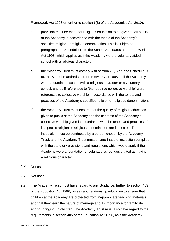Framework Act 1998 or further to section 6(8) of the Academies Act 2010):

- a) provision must be made for religious education to be given to all pupils at the Academy in accordance with the tenets of the Academy's specified religion or religious denomination. This is subject to paragraph 4 of Schedule 19 to the School Standards and Framework Act 1998, which applies as if the Academy were a voluntary aided school with a religious character;
- b) the Academy Trust must comply with section 70(1) of, and Schedule 20 to, the School Standards and Framework Act 1998 as if the Academy were a foundation school with a religious character or a voluntary school, and as if references to "the required collective worship" were references to collective worship in accordance with the tenets and practices of the Academy's specified religion or religious denomination;
- c) the Academy Trust must ensure that the quality of religious education given to pupils at the Academy and the contents of the Academy's collective worship given in accordance with the tenets and practices of its specific religion or religious denomination are inspected. The inspection must be conducted by a person chosen by the Academy Trust, and the Academy Trust must ensure that the inspection complies with the statutory provisions and regulations which would apply if the Academy were a foundation or voluntary school designated as having a religious character.
- 2.X Not used.
- 2.Y Not used.
- 2.Z The Academy Trust must have regard to any Guidance, further to section 403 of the Education Act 1996, on sex and relationship education to ensure that children at the Academy are protected from inappropriate teaching materials and that they learn the nature of marriage and its importance for family life and for bringing up children. The Academy Trust must also have regard to the requirements in section 405 of the Education Act 1996, as if the Academy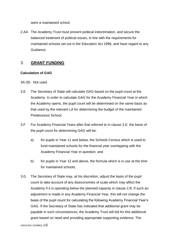were a maintained school.

2.AA The Academy Trust must prevent political indoctrination, and secure the balanced treatment of political issues, in line with the requirements for maintained schools set out in the Education Act 1996, and have regard to any Guidance.

## <span id="page-14-0"></span>3. **GRANT FUNDING**

#### <span id="page-14-1"></span>**Calculation of GAG**

3A-3D. Not used.

- 3.E The Secretary of State will calculate GAG based on the pupil count at the Academy. In order to calculate GAG for the Academy Financial Year in which the Academy opens, the pupil count will be determined on the same basis as that used by the relevant LA for determining the budget of the maintained Predecessor School.
- 3.F For Academy Financial Years after that referred to in clause 3.E, the basis of the pupil count for determining GAG will be:
	- a) for pupils in Year 11 and below, the Schools Census which is used to fund maintained schools for the financial year overlapping with the Academy Financial Year in question; and
	- b) for pupils in Year 12 and above, the formula which is in use at the time for maintained schools.
- 3.G The Secretary of State may, at his discretion, adjust the basis of the pupil count to take account of any diseconomies of scale which may affect the Academy if it is operating below the planned capacity in clause 2.B. If such an adjustment is made in any Academy Financial Year, this will not change the basis of the pupil count for calculating the following Academy Financial Year's GAG. If the Secretary of State has indicated that additional grant may be payable in such circumstances, the Academy Trust will bid for this additional grant based on need and providing appropriate supporting evidence. The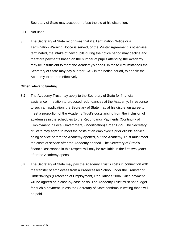Secretary of State may accept or refuse the bid at his discretion.

- 3.H Not used.
- 3.I The Secretary of State recognises that if a Termination Notice or a Termination Warning Notice is served, or the Master Agreement is otherwise terminated, the intake of new pupils during the notice period may decline and therefore payments based on the number of pupils attending the Academy may be insufficient to meet the Academy's needs. In these circumstances the Secretary of State may pay a larger GAG in the notice period, to enable the Academy to operate effectively.

#### <span id="page-15-0"></span>**Other relevant funding**

- 3.J The Academy Trust may apply to the Secretary of State for financial assistance in relation to proposed redundancies at the Academy. In response to such an application, the Secretary of State may at his discretion agree to meet a proportion of the Academy Trust's costs arising from the inclusion of academies in the schedules to the Redundancy Payments (Continuity of Employment in Local Government) (Modification) Order 1999. The Secretary of State may agree to meet the costs of an employee's prior eligible service, being service before the Academy opened, but the Academy Trust must meet the costs of service after the Academy opened. The Secretary of State's financial assistance in this respect will only be available in the first two years after the Academy opens.
- 3.K The Secretary of State may pay the Academy Trust's costs in connection with the transfer of employees from a Predecessor School under the Transfer of Undertakings (Protection of Employment) Regulations 2006. Such payment will be agreed on a case-by-case basis. The Academy Trust must not budget for such a payment unless the Secretary of State confirms in writing that it will be paid.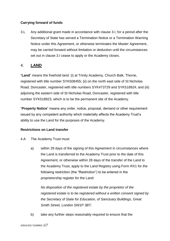### **Carrying forward of funds**

3.L Any additional grant made in accordance with clause 3.I, for a period after the Secretary of State has served a Termination Notice or a Termination Warning Notice under this Agreement, or otherwise terminates the Master Agreement, may be carried forward without limitation or deduction until the circumstances set out in clause 3.I cease to apply or the Academy closes.

## <span id="page-16-0"></span>4. **LAND**

"**Land**" means the freehold land: (i) at Trinity Academy, Church Balk, Thorne, registered with title number SYK508455; (ii) on the north east side of St Nicholas Road, Doncaster, registered with title numbers SYK473729 and SYK518924; and (iii) adjoining the eastern side of St Nicholas Road, Doncaster, registered with title number SYK518923, which is to be the permanent site of the Academy.

"**Property Notice**" means any order, notice, proposal, demand or other requirement issued by any competent authority which materially affects the Academy Trust's ability to use the Land for the purposes of the Academy.

#### **Restrictions on Land transfer**

4.A The Academy Trust must:

a) within 28 days of the signing of this Agreement in circumstances where the Land is transferred to the Academy Trust prior to the date of this Agreement, or otherwise within 28 days of the transfer of the Land to the Academy Trust, apply to the Land Registry using Form RX1 for the following restriction (the "Restriction") to be entered in the proprietorship register for the Land:

*No disposition of the registered estate by the proprietor of the registered estate is to be registered without a written consent signed by the Secretary of State for Education, of Sanctuary Buildings, Great Smith Street, London SW1P 3BT;*

b) take any further steps reasonably required to ensure that the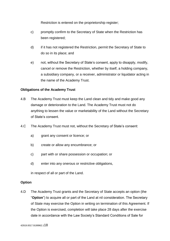Restriction is entered on the proprietorship register;

- c) promptly confirm to the Secretary of State when the Restriction has been registered;
- d) if it has not registered the Restriction, permit the Secretary of State to do so in its place; and
- e) not, without the Secretary of State's consent, apply to disapply, modify, cancel or remove the Restriction, whether by itself, a holding company, a subsidiary company, or a receiver, administrator or liquidator acting in the name of the Academy Trust.

#### **Obligations of the Academy Trust**

- 4.B The Academy Trust must keep the Land clean and tidy and make good any damage or deterioration to the Land. The Academy Trust must not do anything to lessen the value or marketability of the Land without the Secretary of State's consent.
- 4.C The Academy Trust must not, without the Secretary of State's consent:
	- a) grant any consent or licence; or
	- b) create or allow any encumbrance; or
	- c) part with or share possession or occupation; or
	- d) enter into any onerous or restrictive obligations,

in respect of all or part of the Land.

#### **Option**

4.D The Academy Trust grants and the Secretary of State accepts an option (the "**Option**") to acquire all or part of the Land at nil consideration. The Secretary of State may exercise the Option in writing on termination of this Agreement. If the Option is exercised, completion will take place 28 days after the exercise date in accordance with the Law Society's Standard Conditions of Sale for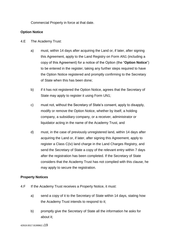Commercial Property in force at that date.

#### **Option Notice**

- 4.E The Academy Trust:
	- a) must, within 14 days after acquiring the Land or, if later, after signing this Agreement, apply to the Land Registry on Form AN1 (including a copy of this Agreement) for a notice of the Option (the "**Option Notice**") to be entered in the register, taking any further steps required to have the Option Notice registered and promptly confirming to the Secretary of State when this has been done;
	- b) if it has not registered the Option Notice, agrees that the Secretary of State may apply to register it using Form UN1;
	- c) must not, without the Secretary of State's consent, apply to disapply, modify or remove the Option Notice, whether by itself, a holding company, a subsidiary company, or a receiver, administrator or liquidator acting in the name of the Academy Trust, and
	- d) must, in the case of previously unregistered land, within 14 days after acquiring the Land or, if later, after signing this Agreement, apply to register a Class C(iv) land charge in the Land Charges Registry, and send the Secretary of State a copy of the relevant entry within 7 days after the registration has been completed. If the Secretary of State considers that the Academy Trust has not complied with this clause, he may apply to secure the registration.

#### **Property Notices**

- 4.F If the Academy Trust receives a Property Notice, it must:
	- a) send a copy of it to the Secretary of State within 14 days, stating how the Academy Trust intends to respond to it;
	- b) promptly give the Secretary of State all the information he asks for about it;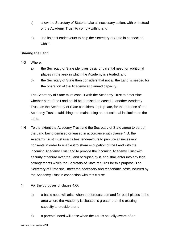- c) allow the Secretary of State to take all necessary action, with or instead of the Academy Trust, to comply with it, and
- d) use its best endeavours to help the Secretary of State in connection with it.

#### **Sharing the Land**

- 4.G Where:
	- a) the Secretary of State identifies basic or parental need for additional places in the area in which the Academy is situated; and
	- b) the Secretary of State then considers that not all the Land is needed for the operation of the Academy at planned capacity,

The Secretary of State must consult with the Academy Trust to determine whether part of the Land could be demised or leased to another Academy Trust, as the Secretary of State considers appropriate, for the purpose of that Academy Trust establishing and maintaining an educational institution on the Land.

- 4.H To the extent the Academy Trust and the Secretary of State agree to part of the Land being demised or leased in accordance with clause 4.G, the Academy Trust must use its best endeavours to procure all necessary consents in order to enable it to share occupation of the Land with the incoming Academy Trust and to provide the incoming Academy Trust with security of tenure over the Land occupied by it, and shall enter into any legal arrangements which the Secretary of State requires for this purpose. The Secretary of State shall meet the necessary and reasonable costs incurred by the Academy Trust in connection with this clause.
- 4.I For the purposes of clause 4.G:
	- a) a basic need will arise when the forecast demand for pupil places in the area where the Academy is situated is greater than the existing capacity to provide them;
	- b) a parental need will arise when the DfE is actually aware of an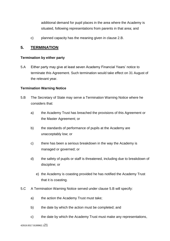additional demand for pupil places in the area where the Academy is situated, following representations from parents in that area; and

c) planned capacity has the meaning given in clause 2.B.

## <span id="page-20-0"></span>**5. TERMINATION**

#### <span id="page-20-1"></span>**Termination by either party**

5.A Either party may give at least seven Academy Financial Years' notice to terminate this Agreement. Such termination would take effect on 31 August of the relevant year.

#### <span id="page-20-2"></span>**Termination Warning Notice**

- 5.B The Secretary of State may serve a Termination Warning Notice where he considers that:
	- a) the Academy Trust has breached the provisions of this Agreement or the Master Agreement; or
	- b) the standards of performance of pupils at the Academy are unacceptably low; or
	- c) there has been a serious breakdown in the way the Academy is managed or governed; or
	- d) the safety of pupils or staff is threatened, including due to breakdown of discipline; or
		- e) the Academy is coasting provided he has notified the Academy Trust that it is coasting.
- 5.C A Termination Warning Notice served under clause 5.B will specify:
	- a) the action the Academy Trust must take;
	- b) the date by which the action must be completed; and
	- c) the date by which the Academy Trust must make any representations,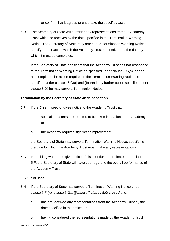or confirm that it agrees to undertake the specified action.

- 5.D The Secretary of State will consider any representations from the Academy Trust which he receives by the date specified in the Termination Warning Notice. The Secretary of State may amend the Termination Warning Notice to specify further action which the Academy Trust must take, and the date by which it must be completed.
- 5.E If the Secretary of State considers that the Academy Trust has not responded to the Termination Warning Notice as specified under clause 5.C(c), or has not completed the action required in the Termination Warning Notice as specified under clauses 5.C(a) and (b) (and any further action specified under clause 5.D) he may serve a Termination Notice.

#### <span id="page-21-0"></span>**Termination by the Secretary of State after inspection**

- 5.F If the Chief Inspector gives notice to the Academy Trust that:
	- a) special measures are required to be taken in relation to the Academy; or
	- b) the Academy requires significant improvement

the Secretary of State may serve a Termination Warning Notice, specifying the date by which the Academy Trust must make any representations.

- 5.G In deciding whether to give notice of his intention to terminate under clause 5.F, the Secretary of State will have due regard to the overall performance of the Academy Trust.
- 5.G.1 Not used.
- 5.H If the Secretary of State has served a Termination Warning Notice under clause 5.F [\*or clause 5.G.1 ][**\****insert if clause 5.G.1 used*]and:
	- a) has not received any representations from the Academy Trust by the date specified in the notice; or
	- b) having considered the representations made by the Academy Trust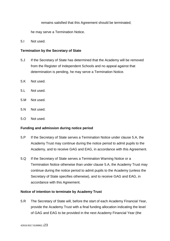remains satisfied that this Agreement should be terminated;

he may serve a Termination Notice.

5.I Not used.

#### <span id="page-22-0"></span>**Termination by the Secretary of State**

- 5.J If the Secretary of State has determined that the Academy will be removed from the Register of Independent Schools and no appeal against that determination is pending, he may serve a Termination Notice.
- 5.K Not used.
- 5.L Not used.
- 5.M Not used.
- 5.N Not used.
- 5.O Not used.

#### <span id="page-22-1"></span>**Funding and admission during notice period**

- 5.P If the Secretary of State serves a Termination Notice under clause 5.A, the Academy Trust may continue during the notice period to admit pupils to the Academy, and to receive GAG and EAG, in accordance with this Agreement.
- 5.Q If the Secretary of State serves a Termination Warning Notice or a Termination Notice otherwise than under clause 5.A, the Academy Trust may continue during the notice period to admit pupils to the Academy (unless the Secretary of State specifies otherwise), and to receive GAG and EAG, in accordance with this Agreement.

#### <span id="page-22-2"></span>**Notice of intention to terminate by Academy Trust**

5.R The Secretary of State will, before the start of each Academy Financial Year, provide the Academy Trust with a final funding allocation indicating the level of GAG and EAG to be provided in the next Academy Financial Year (the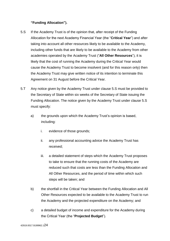#### **"Funding Allocation").**

- 5.S If the Academy Trust is of the opinion that, after receipt of the Funding Allocation for the next Academy Financial Year (the "**Critical Year**") and after taking into account all other resources likely to be available to the Academy, including other funds that are likely to be available to the Academy from other academies operated by the Academy Trust ("**All Other Resources**"), it is likely that the cost of running the Academy during the Critical Year would cause the Academy Trust to become insolvent (and for this reason only) then the Academy Trust may give written notice of its intention to terminate this Agreement on 31 August before the Critical Year.
- 5.T Any notice given by the Academy Trust under clause 5.S must be provided to the Secretary of State within six weeks of the Secretary of State issuing the Funding Allocation. The notice given by the Academy Trust under clause 5.S must specify:
	- a) the grounds upon which the Academy Trust's opinion is based, including:
		- i. evidence of those grounds;
		- ii. any professional accounting advice the Academy Trust has received;
		- iii. a detailed statement of steps which the Academy Trust proposes to take to ensure that the running costs of the Academy are reduced such that costs are less than the Funding Allocation and All Other Resources, and the period of time within which such steps will be taken; and
	- b) the shortfall in the Critical Year between the Funding Allocation and All Other Resources expected to be available to the Academy Trust to run the Academy and the projected expenditure on the Academy; and
	- c) a detailed budget of income and expenditure for the Academy during the Critical Year (the "**Projected Budget**").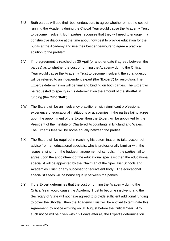- 5.U Both parties will use their best endeavours to agree whether or not the cost of running the Academy during the Critical Year would cause the Academy Trust to become insolvent. Both parties recognise that they will need to engage in a constructive dialogue at the time about how best to provide education for the pupils at the Academy and use their best endeavours to agree a practical solution to the problem.
- 5.V If no agreement is reached by 30 April (or another date if agreed between the parties) as to whether the cost of running the Academy during the Critical Year would cause the Academy Trust to become insolvent, then that question will be referred to an independent expert (the "**Expert**") for resolution. The Expert's determination will be final and binding on both parties. The Expert will be requested to specify in his determination the amount of the shortfall in funding (the "**Shortfall**").
- 5.W The Expert will be an insolvency practitioner with significant professional experience of educational institutions or academies. If the parties fail to agree upon the appointment of the Expert then the Expert will be appointed by the President of the Institute of Chartered Accountants in England and Wales. The Expert's fees will be borne equally between the parties.
- 5.X The Expert will be required in reaching his determination to take account of advice from an educational specialist who is professionally familiar with the issues arising from the budget management of schools. If the parties fail to agree upon the appointment of the educational specialist then the educational specialist will be appointed by the Chairman of the Specialist Schools and Academies Trust (or any successor or equivalent body). The educational specialist's fees will be borne equally between the parties.
- 5.Y If the Expert determines that the cost of running the Academy during the Critical Year would cause the Academy Trust to become insolvent, and the Secretary of State will not have agreed to provide sufficient additional funding to cover the Shortfall, then the Academy Trust will be entitled to terminate this Agreement, by notice expiring on 31 August before the Critical Year. Any such notice will be given within 21 days after (a) the Expert's determination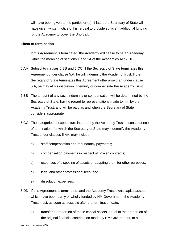will have been given to the parties or (b), if later, the Secretary of State will have given written notice of his refusal to provide sufficient additional funding for the Academy to cover the Shortfall.

#### <span id="page-25-0"></span>**Effect of termination**

- 5.Z If this Agreement is terminated, the Academy will cease to be an Academy within the meaning of sections 1 and 1A of the Academies Act 2010.
- 5.AA Subject to clauses 5.BB and 5.CC, if the Secretary of State terminates this Agreement under clause 5.A, he will indemnify the Academy Trust. If the Secretary of State terminates this Agreement otherwise than under clause 5.A, he may at his discretion indemnify or compensate the Academy Trust.
- 5.BB The amount of any such indemnity or compensation will be determined by the Secretary of State, having regard to representations made to him by the Academy Trust, and will be paid as and when the Secretary of State considers appropriate.
- 5.CC The categories of expenditure incurred by the Academy Trust in consequence of termination, for which the Secretary of State may indemnify the Academy Trust under clauses 5.AA, may include:
	- a) staff compensation and redundancy payments;
	- b) compensation payments in respect of broken contracts;
	- c) expenses of disposing of assets or adapting them for other purposes;
	- d) legal and other professional fees; and
	- e) dissolution expenses.
- 5.DD If this Agreement is terminated, and the Academy Trust owns capital assets which have been partly or wholly funded by HM Government, the Academy Trust must, as soon as possible after the termination date:
	- a) transfer a proportion of those capital assets, equal to the proportion of the original financial contribution made by HM Government, to a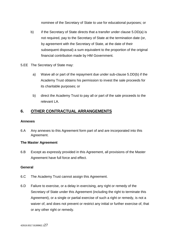nominee of the Secretary of State to use for educational purposes; or

- b) if the Secretary of State directs that a transfer under clause 5.DD(a) is not required, pay to the Secretary of State at the termination date (or, by agreement with the Secretary of State, at the date of their subsequent disposal) a sum equivalent to the proportion of the original financial contribution made by HM Government.
- 5.EE The Secretary of State may:
	- a) Waive all or part of the repayment due under sub-clause 5.DD(b) if the Academy Trust obtains his permission to invest the sale proceeds for its charitable purposes; or
	- b) direct the Academy Trust to pay all or part of the sale proceeds to the relevant LA.

## <span id="page-26-0"></span>**6. OTHER CONTRACTUAL ARRANGEMENTS**

#### <span id="page-26-1"></span>**Annexes**

6.A Any annexes to this Agreement form part of and are incorporated into this Agreement.

#### <span id="page-26-2"></span>**The Master Agreement**

6.B Except as expressly provided in this Agreement, all provisions of the Master Agreement have full force and effect.

#### <span id="page-26-3"></span>**General**

- 6.C The Academy Trust cannot assign this Agreement.
- 6.D Failure to exercise, or a delay in exercising, any right or remedy of the Secretary of State under this Agreement (including the right to terminate this Agreement), or a single or partial exercise of such a right or remedy, is not a waiver of, and does not prevent or restrict any initial or further exercise of, that or any other right or remedy.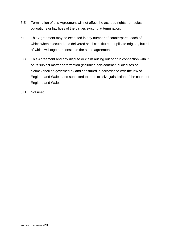- 6.E Termination of this Agreement will not affect the accrued rights, remedies, obligations or liabilities of the parties existing at termination.
- 6.F This Agreement may be executed in any number of counterparts, each of which when executed and delivered shall constitute a duplicate original, but all of which will together constitute the same agreement.
- 6.G This Agreement and any dispute or claim arising out of or in connection with it or its subject matter or formation (including non-contractual disputes or claims) shall be governed by and construed in accordance with the law of England and Wales, and submitted to the exclusive jurisdiction of the courts of England and Wales.
- 6.H Not used.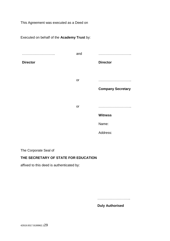This Agreement was executed as a Deed on

Executed on behalf of the **Academy Trust** by: ……………………….. **Director** and ……………………….. **Director** or ……………………….. **Company Secretary** or ……………………….. **Witness** Name: Address:

The Corporate Seal of

#### **THE SECRETARY OF STATE FOR EDUCATION**

affixed to this deed is authenticated by:

………………………..

**Duly Authorised**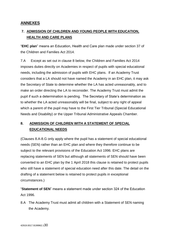# <span id="page-29-0"></span>**ANNEXES**

# <span id="page-29-1"></span>**7. ADMISSION OF CHILDREN AND YOUNG PEOPLE WITH EDUCATION, HEALTH AND CARE PLANS**

"**EHC plan**" means an Education, Health and Care plan made under section 37 of the Children and Families Act 2014.

7.A Except as set out in clause 8 below, the Children and Families Act 2014 imposes duties directly on Academies in respect of pupils with special educational needs, including the admission of pupils with EHC plans. If an Academy Trust considers that a LA should not have named the Academy in an EHC plan, it may ask the Secretary of State to determine whether the LA has acted unreasonably, and to make an order directing the LA to reconsider. The Academy Trust must admit the pupil if such a determination is pending. The Secretary of State's determination as to whether the LA acted unreasonably will be final, subject to any right of appeal which a parent of the pupil may have to the First Tier Tribunal (Special Educational Needs and Disability) or the Upper Tribunal Administrative Appeals Chamber.

# <span id="page-29-2"></span>**8. ADMISSION OF CHILDREN WITH A STATEMENT OF SPECIAL EDUCATIONAL NEEDS**

(Clauses 8.A-8.G only apply where the pupil has a statement of special educational needs (SEN) rather than an EHC plan and where they therefore continue to be subject to the relevant provisions of the Education Act 1996. EHC plans are replacing statements of SEN but although all statements of SEN should have been converted to an EHC plan by the 1 April 2018 this clause is retained to protect pupils who still have a statement of special education need after this date. The detail on the drafting of a statement below is retained to protect pupils in exceptional circumstances.)

"**Statement of SEN**" means a statement made under section 324 of the Education Act 1996.

8.A The Academy Trust must admit all children with a Statement of SEN naming the Academy.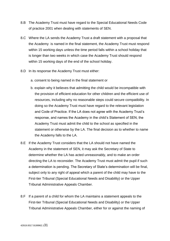- 8.B The Academy Trust must have regard to the Special Educational Needs Code of practice 2001 when dealing with statements of SEN.
- 8.C Where the LA sends the Academy Trust a draft statement with a proposal that the Academy is named in the final statement, the Academy Trust must respond within 15 working days unless the time period falls within a school holiday that is longer than two weeks in which case the Academy Trust should respond within 15 working days of the end of the school holiday.
- 8.D In its response the Academy Trust must either:
	- a. consent to being named in the final statement or
	- b. explain why it believes that admitting the child would be incompatible with the provision of efficient education for other children and the efficient use of resources, including why no reasonable steps could secure compatibility. In doing so the Academy Trust must have regard to the relevant legislation and Code of Practice. If the LA does not agree with the Academy Trust's response, and names the Academy in the child's Statement of SEN, the Academy Trust must admit the child to the school as specified in the statement or otherwise by the LA. The final decision as to whether to name the Academy falls to the LA.
- 8.E If the Academy Trust considers that the LA should not have named the Academy in the statement of SEN, it may ask the Secretary of State to determine whether the LA has acted unreasonably, and to make an order directing the LA to reconsider. The Academy Trust must admit the pupil if such a determination is pending. The Secretary of State's determination will be final, subject only to any right of appeal which a parent of the child may have to the First-tier Tribunal (Special Educational Needs and Disability) or the Upper Tribunal Administrative Appeals Chamber.
- 8.F If a parent of a child for whom the LA maintains a statement appeals to the First-tier Tribunal (Special Educational Needs and Disability) or the Upper Tribunal Administrative Appeals Chamber, either for or against the naming of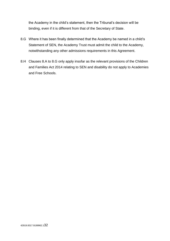the Academy in the child's statement, then the Tribunal's decision will be binding, even if it is different from that of the Secretary of State.

- 8.G Where it has been finally determined that the Academy be named in a child's Statement of SEN, the Academy Trust must admit the child to the Academy, notwithstanding any other admissions requirements in this Agreement.
- 8.H Clauses 8.A to 8.G only apply insofar as the relevant provisions of the Children and Families Act 2014 relating to SEN and disability do not apply to Academies and Free Schools.